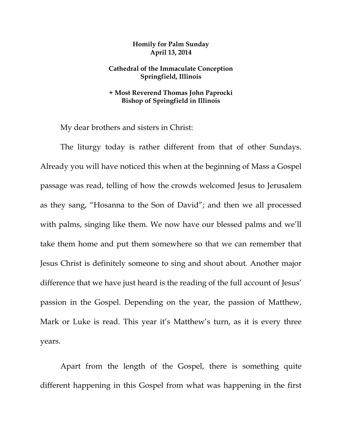## **Homily for Palm Sunday April 13, 2014**

## **Cathedral of the Immaculate Conception Springfield, Illinois**

## **+ Most Reverend Thomas John Paprocki Bishop of Springfield in Illinois**

My dear brothers and sisters in Christ:

 The liturgy today is rather different from that of other Sundays. Already you will have noticed this when at the beginning of Mass a Gospel passage was read, telling of how the crowds welcomed Jesus to Jerusalem as they sang, "Hosanna to the Son of David"; and then we all processed with palms, singing like them. We now have our blessed palms and we'll take them home and put them somewhere so that we can remember that Jesus Christ is definitely someone to sing and shout about. Another major difference that we have just heard is the reading of the full account of Jesus' passion in the Gospel. Depending on the year, the passion of Matthew, Mark or Luke is read. This year it's Matthew's turn, as it is every three years.

Apart from the length of the Gospel, there is something quite different happening in this Gospel from what was happening in the first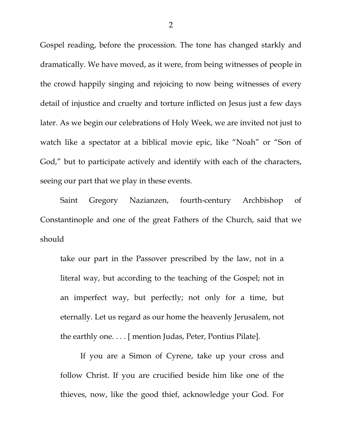Gospel reading, before the procession. The tone has changed starkly and dramatically. We have moved, as it were, from being witnesses of people in the crowd happily singing and rejoicing to now being witnesses of every detail of injustice and cruelty and torture inflicted on Jesus just a few days later. As we begin our celebrations of Holy Week, we are invited not just to watch like a spectator at a biblical movie epic, like "Noah" or "Son of God," but to participate actively and identify with each of the characters, seeing our part that we play in these events.

Saint Gregory Nazianzen, fourth-century Archbishop of Constantinople and one of the great Fathers of the Church, said that we should

take our part in the Passover prescribed by the law, not in a literal way, but according to the teaching of the Gospel; not in an imperfect way, but perfectly; not only for a time, but eternally. Let us regard as our home the heavenly Jerusalem, not the earthly one. . . . [ mention Judas, Peter, Pontius Pilate].

If you are a Simon of Cyrene, take up your cross and follow Christ. If you are crucified beside him like one of the thieves, now, like the good thief, acknowledge your God. For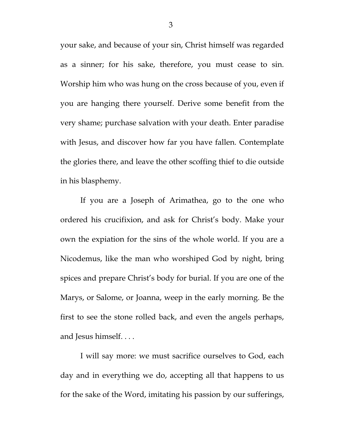your sake, and because of your sin, Christ himself was regarded as a sinner; for his sake, therefore, you must cease to sin. Worship him who was hung on the cross because of you, even if you are hanging there yourself. Derive some benefit from the very shame; purchase salvation with your death. Enter paradise with Jesus, and discover how far you have fallen. Contemplate the glories there, and leave the other scoffing thief to die outside in his blasphemy.

If you are a Joseph of Arimathea, go to the one who ordered his crucifixion, and ask for Christ's body. Make your own the expiation for the sins of the whole world. If you are a Nicodemus, like the man who worshiped God by night, bring spices and prepare Christ's body for burial. If you are one of the Marys, or Salome, or Joanna, weep in the early morning. Be the first to see the stone rolled back, and even the angels perhaps, and Jesus himself. . . .

I will say more: we must sacrifice ourselves to God, each day and in everything we do, accepting all that happens to us for the sake of the Word, imitating his passion by our sufferings,